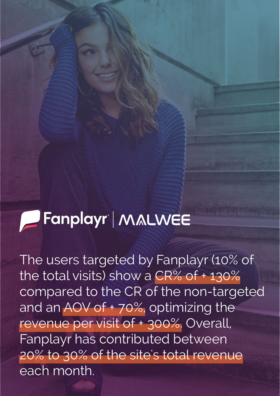# Fanplayr | MALWEE

The users targeted by Fanplayr (10% of the total visits) show a CR% of + 130% compared to the CR of the non-targeted and an AOV of + 70%, optimizing the revenue per visit of + 300%. Overall, Fanplayr has contributed between 20% to 30% of the site's total revenue each month.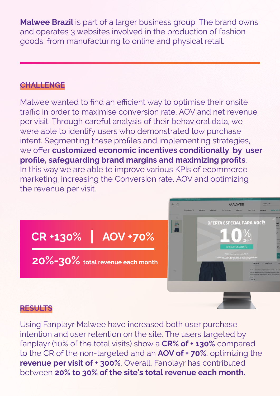**Malwee Brazil** is part of a larger business group. The brand owns and operates 3 websites involved in the production of fashion goods, from manufacturing to online and physical retail.

## **CHALLENGE**

Malwee wanted to find an efficient way to optimise their onsite traffic in order to maximise conversion rate, AOV and net revenue per visit. Through careful analysis of their behavioral data, we were able to identify users who demonstrated low purchase intent. Segmenting these profiles and implementing strategies, we offer **customized economic incentives conditionally**, **by user profile, safeguarding brand margins and maximizing profits**. In this way we are able to improve various KPIs of ecommerce marketing, increasing the Conversion rate, AOV and optimizing the revenue per visit.

## $\theta$   $\theta$ MALWEE OFERTA ESPECIAL PARA VOCÊ! 码 **CR +130% AOV +70% 20%-30% total revenue each month**

### **RESULTS**

Using Fanplayr Malwee have increased both user purchase intention and user retention on the site. The users targeted by fanplayr (10% of the total visits) show a **CR% of + 130%** compared to the CR of the non-targeted and an **AOV of + 70%**, optimizing the **revenue per visit of + 300%**. Overall, Fanplayr has contributed between **20% to 30% of the site's total revenue each month.**